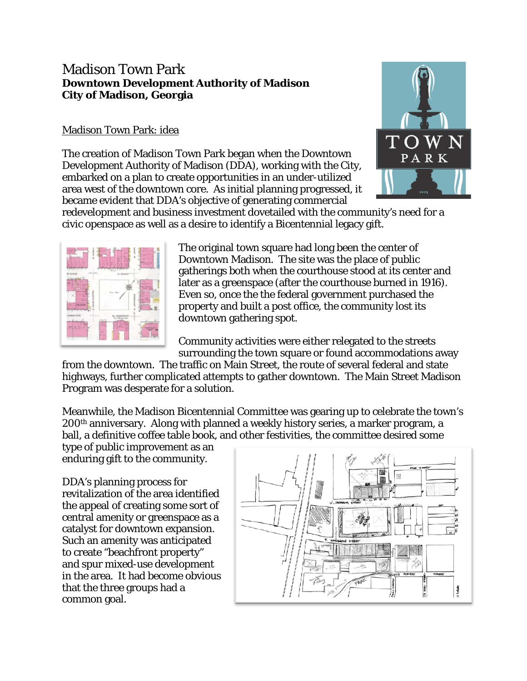# Madison Town Park **Downtown Development Authority of Madison City of Madison, Georgia**

## Madison Town Park: idea

The creation of Madison Town Park began when the Downtown Development Authority of Madison (DDA), working with the City, embarked on a plan to create opportunities in an under-utilized area west of the downtown core. As initial planning progressed, it became evident that DDA's objective of generating commercial



redevelopment and business investment dovetailed with the community's need for a civic openspace as well as a desire to identify a Bicentennial legacy gift.



The original town square had long been the center of Downtown Madison. The site was the place of public gatherings both when the courthouse stood at its center and later as a greenspace (after the courthouse burned in 1916). Even so, once the the federal government purchased the property and built a post office, the community lost its downtown gathering spot.

Community activities were either relegated to the streets surrounding the town square or found accommodations away

from the downtown. The traffic on Main Street, the route of several federal and state highways, further complicated attempts to gather downtown. The Main Street Madison Program was desperate for a solution.

Meanwhile, the Madison Bicentennial Committee was gearing up to celebrate the town's 200th anniversary. Along with planned a weekly history series, a marker program, a ball, a definitive coffee table book, and other festivities, the committee desired some

type of public improvement as an enduring gift to the community.

DDA's planning process for revitalization of the area identified the appeal of creating some sort of central amenity or greenspace as a catalyst for downtown expansion. Such an amenity was anticipated to create "beachfront property" and spur mixed-use development in the area. It had become obvious that the three groups had a common goal.

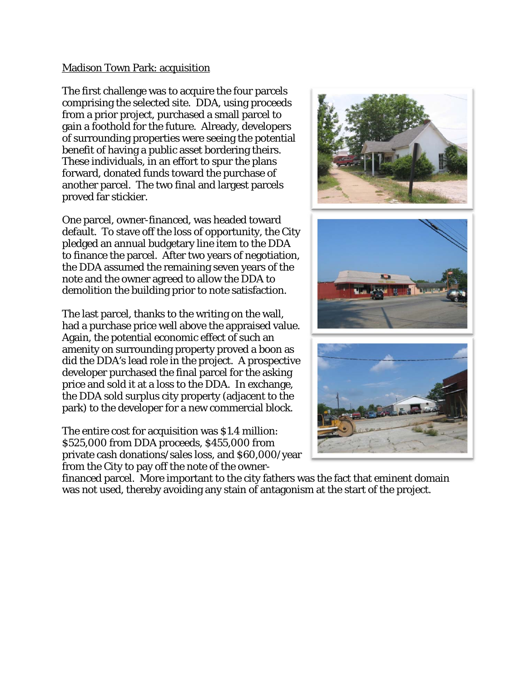#### Madison Town Park: acquisition

The first challenge was to acquire the four parcels comprising the selected site. DDA, using proceeds from a prior project, purchased a small parcel to gain a foothold for the future. Already, developers of surrounding properties were seeing the potential benefit of having a public asset bordering theirs. These individuals, in an effort to spur the plans forward, donated funds toward the purchase of another parcel. The two final and largest parcels proved far stickier.

One parcel, owner-financed, was headed toward default. To stave off the loss of opportunity, the City pledged an annual budgetary line item to the DDA to finance the parcel. After two years of negotiation, the DDA assumed the remaining seven years of the note and the owner agreed to allow the DDA to demolition the building prior to note satisfaction.

The last parcel, thanks to the writing on the wall, had a purchase price well above the appraised value. Again, the potential economic effect of such an amenity on surrounding property proved a boon as did the DDA's lead role in the project. A prospective developer purchased the final parcel for the asking price and sold it at a loss to the DDA. In exchange, the DDA sold surplus city property (adjacent to the park) to the developer for a new commercial block.

The entire cost for acquisition was \$1.4 million: \$525,000 from DDA proceeds, \$455,000 from private cash donations/sales loss, and \$60,000/year from the City to pay off the note of the owner-



financed parcel. More important to the city fathers was the fact that eminent domain was not used, thereby avoiding any stain of antagonism at the start of the project.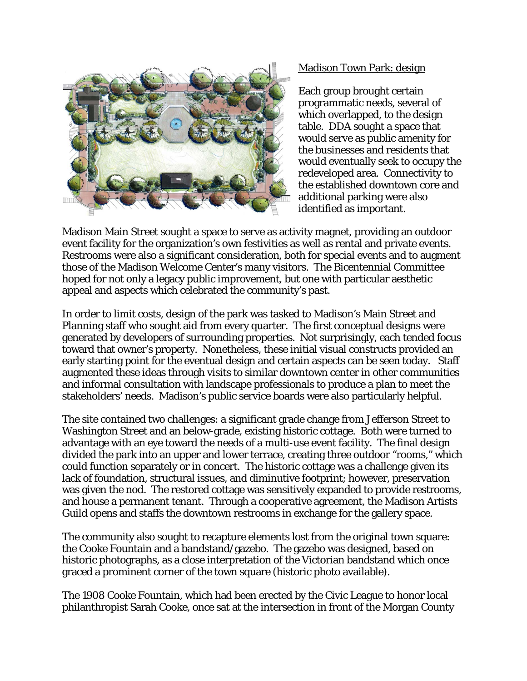

### Madison Town Park: design

Each group brought certain programmatic needs, several of which overlapped, to the design table. DDA sought a space that would serve as public amenity for the businesses and residents that would eventually seek to occupy the redeveloped area. Connectivity to the established downtown core and additional parking were also identified as important.

Madison Main Street sought a space to serve as activity magnet, providing an outdoor event facility for the organization's own festivities as well as rental and private events. Restrooms were also a significant consideration, both for special events and to augment those of the Madison Welcome Center's many visitors. The Bicentennial Committee hoped for not only a legacy public improvement, but one with particular aesthetic appeal and aspects which celebrated the community's past.

In order to limit costs, design of the park was tasked to Madison's Main Street and Planning staff who sought aid from every quarter. The first conceptual designs were generated by developers of surrounding properties. Not surprisingly, each tended focus toward that owner's property. Nonetheless, these initial visual constructs provided an early starting point for the eventual design and certain aspects can be seen today. Staff augmented these ideas through visits to similar downtown center in other communities and informal consultation with landscape professionals to produce a plan to meet the stakeholders' needs. Madison's public service boards were also particularly helpful.

The site contained two challenges: a significant grade change from Jefferson Street to Washington Street and an below-grade, existing historic cottage. Both were turned to advantage with an eye toward the needs of a multi-use event facility. The final design divided the park into an upper and lower terrace, creating three outdoor "rooms," which could function separately or in concert. The historic cottage was a challenge given its lack of foundation, structural issues, and diminutive footprint; however, preservation was given the nod. The restored cottage was sensitively expanded to provide restrooms, and house a permanent tenant. Through a cooperative agreement, the Madison Artists Guild opens and staffs the downtown restrooms in exchange for the gallery space.

The community also sought to recapture elements lost from the original town square: the Cooke Fountain and a bandstand/gazebo. The gazebo was designed, based on historic photographs, as a close interpretation of the Victorian bandstand which once graced a prominent corner of the town square (historic photo available).

The 1908 Cooke Fountain, which had been erected by the Civic League to honor local philanthropist Sarah Cooke, once sat at the intersection in front of the Morgan County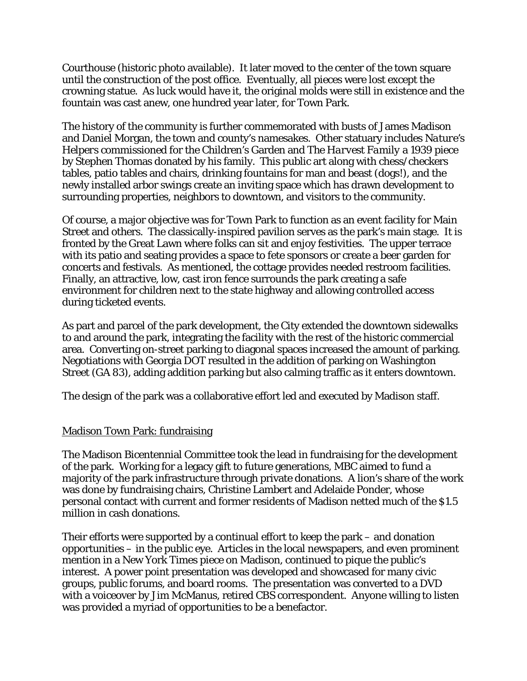Courthouse (historic photo available). It later moved to the center of the town square until the construction of the post office. Eventually, all pieces were lost except the crowning statue. As luck would have it, the original molds were still in existence and the fountain was cast anew, one hundred year later, for Town Park.

The history of the community is further commemorated with busts of James Madison and Daniel Morgan, the town and county's namesakes. Other statuary includes *Nature's Helpers* commissioned for the Children's Garden and *The Harvest Family* a 1939 piece by Stephen Thomas donated by his family. This public art along with chess/checkers tables, patio tables and chairs, drinking fountains for man and beast (dogs!), and the newly installed arbor swings create an inviting space which has drawn development to surrounding properties, neighbors to downtown, and visitors to the community.

Of course, a major objective was for Town Park to function as an event facility for Main Street and others. The classically-inspired pavilion serves as the park's main stage. It is fronted by the Great Lawn where folks can sit and enjoy festivities. The upper terrace with its patio and seating provides a space to fete sponsors or create a beer garden for concerts and festivals. As mentioned, the cottage provides needed restroom facilities. Finally, an attractive, low, cast iron fence surrounds the park creating a safe environment for children next to the state highway and allowing controlled access during ticketed events.

As part and parcel of the park development, the City extended the downtown sidewalks to and around the park, integrating the facility with the rest of the historic commercial area. Converting on-street parking to diagonal spaces increased the amount of parking. Negotiations with Georgia DOT resulted in the addition of parking on Washington Street (GA 83), adding addition parking but also calming traffic as it enters downtown.

The design of the park was a collaborative effort led and executed by Madison staff.

#### Madison Town Park: fundraising

The Madison Bicentennial Committee took the lead in fundraising for the development of the park. Working for a legacy gift to future generations, MBC aimed to fund a majority of the park infrastructure through private donations. A lion's share of the work was done by fundraising chairs, Christine Lambert and Adelaide Ponder, whose personal contact with current and former residents of Madison netted much of the \$1.5 million in cash donations.

Their efforts were supported by a continual effort to keep the park – and donation opportunities – in the public eye. Articles in the local newspapers, and even prominent mention in a New York Times piece on Madison, continued to pique the public's interest. A power point presentation was developed and showcased for many civic groups, public forums, and board rooms. The presentation was converted to a DVD with a voiceover by Jim McManus, retired CBS correspondent. Anyone willing to listen was provided a myriad of opportunities to be a benefactor.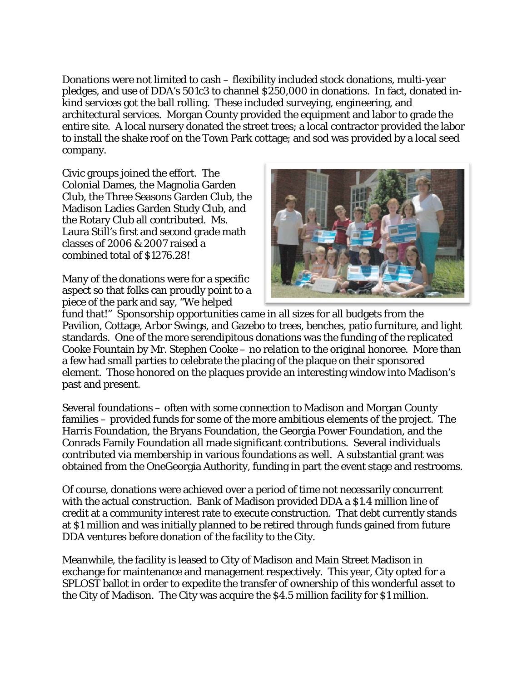Donations were not limited to cash – flexibility included stock donations, multi-year pledges, and use of DDA's 501c3 to channel \$250,000 in donations. In fact, donated inkind services got the ball rolling. These included surveying, engineering, and architectural services. Morgan County provided the equipment and labor to grade the entire site. A local nursery donated the street trees; a local contractor provided the labor to install the shake roof on the Town Park cottage; and sod was provided by a local seed company.

Civic groups joined the effort. The Colonial Dames, the Magnolia Garden Club, the Three Seasons Garden Club, the Madison Ladies Garden Study Club, and the Rotary Club all contributed. Ms. Laura Still's first and second grade math classes of 2006 & 2007 raised a combined total of \$1276.28!

Many of the donations were for a specific aspect so that folks can proudly point to a piece of the park and say, "We helped



fund that!" Sponsorship opportunities came in all sizes for all budgets from the Pavilion, Cottage, Arbor Swings, and Gazebo to trees, benches, patio furniture, and light standards. One of the more serendipitous donations was the funding of the replicated Cooke Fountain by Mr. Stephen Cooke – no relation to the original honoree. More than a few had small parties to celebrate the placing of the plaque on their sponsored element. Those honored on the plaques provide an interesting window into Madison's past and present.

Several foundations – often with some connection to Madison and Morgan County families – provided funds for some of the more ambitious elements of the project. The Harris Foundation, the Bryans Foundation, the Georgia Power Foundation, and the Conrads Family Foundation all made significant contributions. Several individuals contributed via membership in various foundations as well. A substantial grant was obtained from the OneGeorgia Authority, funding in part the event stage and restrooms.

Of course, donations were achieved over a period of time not necessarily concurrent with the actual construction. Bank of Madison provided DDA a \$1.4 million line of credit at a community interest rate to execute construction. That debt currently stands at \$1 million and was initially planned to be retired through funds gained from future DDA ventures before donation of the facility to the City.

Meanwhile, the facility is leased to City of Madison and Main Street Madison in exchange for maintenance and management respectively. This year, City opted for a SPLOST ballot in order to expedite the transfer of ownership of this wonderful asset to the City of Madison. The City was acquire the \$4.5 million facility for \$1 million.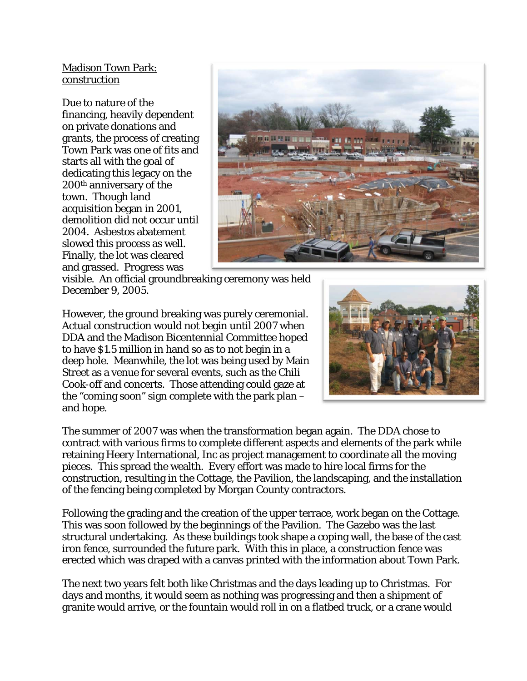#### Madison Town Park: construction

Due to nature of the financing, heavily dependent on private donations and grants, the process of creating Town Park was one of fits and starts all with the goal of dedicating this legacy on the 200th anniversary of the town. Though land acquisition began in 2001, demolition did not occur until 2004. Asbestos abatement slowed this process as well. Finally, the lot was cleared and grassed. Progress was



visible. An official groundbreaking ceremony was held December 9, 2005.

However, the ground breaking was purely ceremonial. Actual construction would not begin until 2007 when DDA and the Madison Bicentennial Committee hoped to have \$1.5 million in hand so as to not begin in a deep hole. Meanwhile, the lot was being used by Main Street as a venue for several events, such as the Chili Cook-off and concerts. Those attending could gaze at the "coming soon" sign complete with the park plan – and hope.



The summer of 2007 was when the transformation began again. The DDA chose to contract with various firms to complete different aspects and elements of the park while retaining Heery International, Inc as project management to coordinate all the moving pieces. This spread the wealth. Every effort was made to hire local firms for the construction, resulting in the Cottage, the Pavilion, the landscaping, and the installation of the fencing being completed by Morgan County contractors.

Following the grading and the creation of the upper terrace, work began on the Cottage. This was soon followed by the beginnings of the Pavilion. The Gazebo was the last structural undertaking. As these buildings took shape a coping wall, the base of the cast iron fence, surrounded the future park. With this in place, a construction fence was erected which was draped with a canvas printed with the information about Town Park.

The next two years felt both like Christmas and the days leading up to Christmas. For days and months, it would seem as nothing was progressing and then a shipment of granite would arrive, or the fountain would roll in on a flatbed truck, or a crane would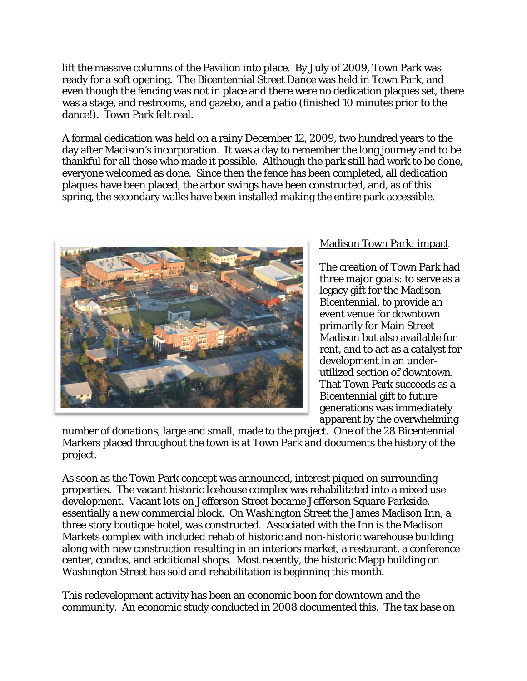lift the massive columns of the Pavilion into place. By July of 2009, Town Park was ready for a soft opening. The Bicentennial Street Dance was held in Town Park, and even though the fencing was not in place and there were no dedication plaques set, there was a stage, and restrooms, and gazebo, and a patio (finished 10 minutes prior to the dance!). Town Park felt real.

A formal dedication was held on a rainy December 12, 2009, two hundred years to the day after Madison's incorporation. It was a day to remember the long journey and to be thankful for all those who made it possible. Although the park still had work to be done, everyone welcomed as done. Since then the fence has been completed, all dedication plaques have been placed, the arbor swings have been constructed, and, as of this spring, the secondary walks have been installed making the entire park accessible.



# Madison Town Park: impact

The creation of Town Park had three major goals: to serve as a legacy gift for the Madison Bicentennial, to provide an event venue for downtown primarily for Main Street Madison but also available for rent, and to act as a catalyst for development in an underutilized section of downtown. That Town Park succeeds as a Bicentennial gift to future generations was immediately apparent by the overwhelming

number of donations, large and small, made to the project. One of the 28 Bicentennial Markers placed throughout the town is at Town Park and documents the history of the project.

As soon as the Town Park concept was announced, interest piqued on surrounding properties. The vacant historic Icehouse complex was rehabilitated into a mixed use development. Vacant lots on Jefferson Street became Jefferson Square Parkside, essentially a new commercial block. On Washington Street the James Madison Inn, a three story boutique hotel, was constructed. Associated with the Inn is the Madison Markets complex with included rehab of historic and non-historic warehouse building along with new construction resulting in an interiors market, a restaurant, a conference center, condos, and additional shops. Most recently, the historic Mapp building on Washington Street has sold and rehabilitation is beginning this month.

This redevelopment activity has been an economic boon for downtown and the community. An economic study conducted in 2008 documented this. The tax base on